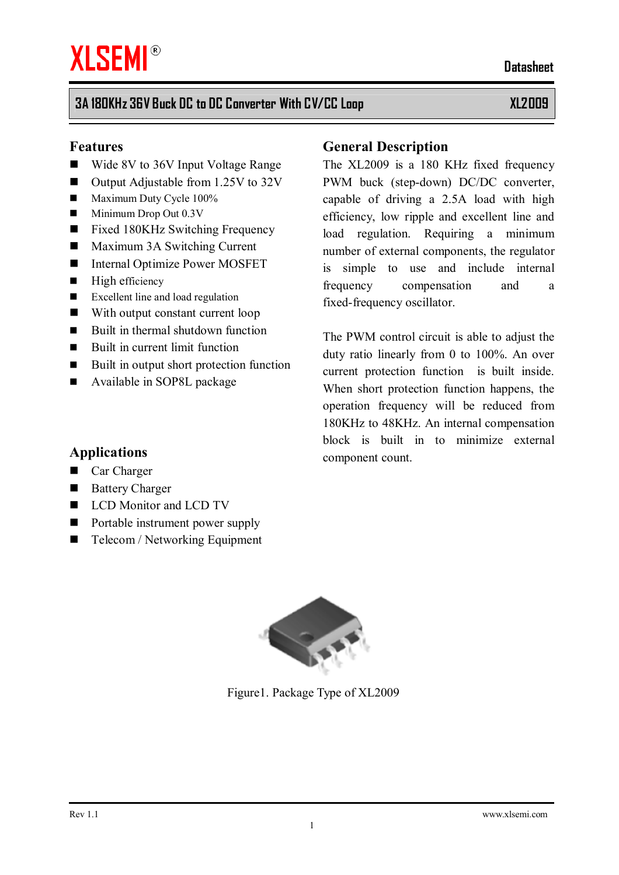#### **Features**

- Wide 8V to 36V Input Voltage Range
- $\blacksquare$  Output Adjustable from 1.25V to 32V
- $\blacksquare$  Maximum Duty Cycle 100%
- $\blacksquare$  Minimum Drop Out 0.3V
- Fixed 180KHz Switching Frequency
- Maximum 3A Switching Current
- Internal Optimize Power MOSFET
- $\blacksquare$  High efficiency
- Excellent line and load regulation
- $\blacksquare$  With output constant current loop
- $\blacksquare$  Built in thermal shutdown function
- $\blacksquare$  Built in current limit function
- Built in output short protection function
- Available in SOP8L package

#### **General Description**

The XL2009 is a 180 KHz fixed frequency PWM buck (step-down) DC/DC converter, capable of driving a 2.5A load with high efficiency, low ripple and excellent line and load regulation. Requiring a minimum number of external components, the regulator is simple to use and include internal frequency compensation and a fixed-frequency oscillator.

The PWM control circuit is able to adjust the duty ratio linearly from 0 to 100%. An over current protection function is built inside. When short protection function happens, the operation frequency will be reduced from 180KHz to 48KHz. An internal compensation block is built in to minimize external component count.

#### **Applications**

- Car Charger
- Battery Charger
- LCD Monitor and LCD TV
- Portable instrument power supply
- $\blacksquare$  Telecom / Networking Equipment



Figure1. Package Type of XL2009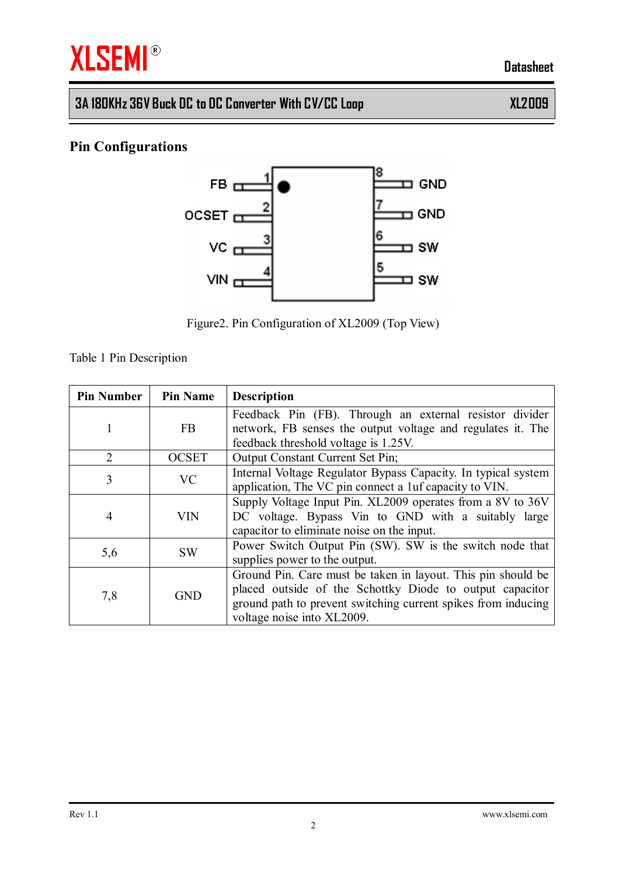# **Pin Configurations**



Figure2. Pin Configuration of XL2009 (Top View)

Table 1 Pin Description

| <b>Pin Number</b> | <b>Pin Name</b> | <b>Description</b>                                                                                                                                                                                                      |
|-------------------|-----------------|-------------------------------------------------------------------------------------------------------------------------------------------------------------------------------------------------------------------------|
|                   | <b>FB</b>       | Feedback Pin (FB). Through an external resistor divider<br>network, FB senses the output voltage and regulates it. The<br>feedback threshold voltage is 1.25V.                                                          |
| $\overline{2}$    | <b>OCSET</b>    | Output Constant Current Set Pin;                                                                                                                                                                                        |
| 3                 | <b>VC</b>       | Internal Voltage Regulator Bypass Capacity. In typical system<br>application, The VC pin connect a 1uf capacity to VIN.                                                                                                 |
| 4                 | <b>VIN</b>      | Supply Voltage Input Pin. XL2009 operates from a 8V to 36V<br>DC voltage. Bypass Vin to GND with a suitably large<br>capacitor to eliminate noise on the input.                                                         |
| 5,6               | <b>SW</b>       | Power Switch Output Pin (SW). SW is the switch node that<br>supplies power to the output.                                                                                                                               |
| 7,8               | GND             | Ground Pin. Care must be taken in layout. This pin should be<br>placed outside of the Schottky Diode to output capacitor<br>ground path to prevent switching current spikes from inducing<br>voltage noise into XL2009. |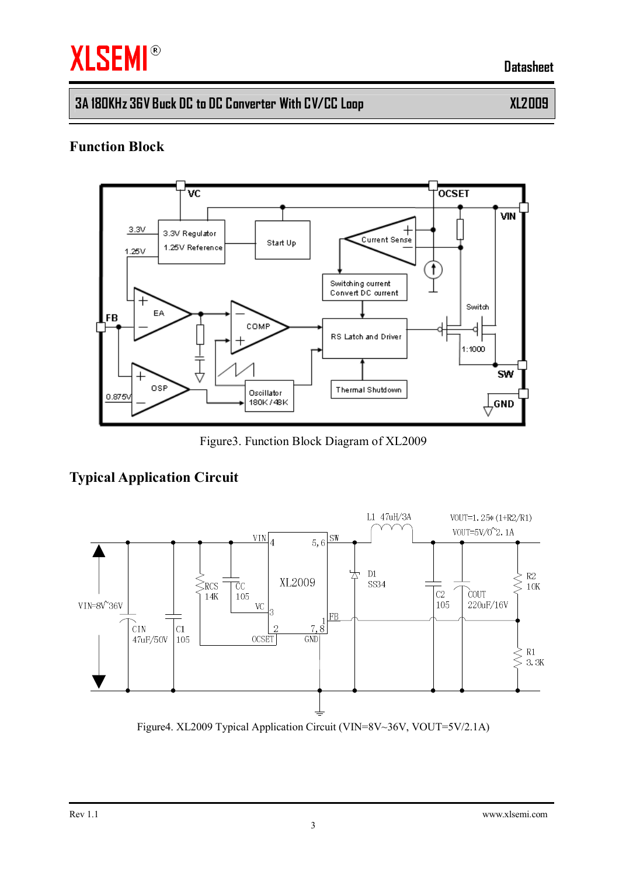# **XLSEMI®**

**3A 180KHz 36V Buck DC to DC Converter With CV/CC Loop XL2009**

### **Function Block**



Figure3. Function Block Diagram of XL2009

### **Typical Application Circuit**



Figure4. XL2009 Typical Application Circuit (VIN=8V~36V, VOUT=5V/2.1A)

 **Datasheet**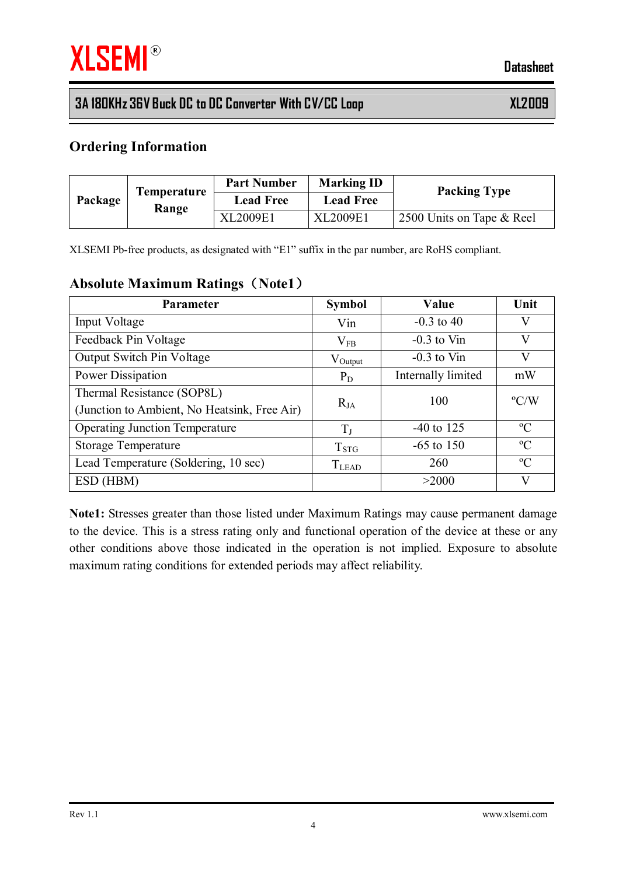**Datasheet**

### **3A 180KHz 36V Buck DC to DC Converter With CV/CC Loop XL2009**

#### **Ordering Information**

| Package | <b>Temperature</b> | <b>Part Number</b><br><b>Marking ID</b> |                  | <b>Packing Type</b>       |  |
|---------|--------------------|-----------------------------------------|------------------|---------------------------|--|
|         | Range              | <b>Lead Free</b>                        | <b>Lead Free</b> |                           |  |
|         |                    | XL2009E1                                | XL2009E1         | 2500 Units on Tape & Reel |  |

XLSEMI Pb-free products, as designated with "E1" suffix in the par number, are RoHS compliant.

#### **Absolute Maximum Ratings(Note1)**

| <b>Parameter</b>                             | <b>Symbol</b>       | Value              | Unit          |  |
|----------------------------------------------|---------------------|--------------------|---------------|--|
| Input Voltage                                | Vin                 | $-0.3$ to 40       | V             |  |
| Feedback Pin Voltage                         | $V_{FB}$            | $-0.3$ to Vin      | V             |  |
| <b>Output Switch Pin Voltage</b>             | $V_{\text{Output}}$ | $-0.3$ to Vin      | $\rm V$       |  |
| Power Dissipation                            | $P_D$               | Internally limited | mW            |  |
| Thermal Resistance (SOP8L)                   |                     | 100                | $\rm ^{o}C/W$ |  |
| (Junction to Ambient, No Heatsink, Free Air) | $R_{JA}$            |                    |               |  |
| <b>Operating Junction Temperature</b>        | $T_{J}$             | $-40$ to 125       | $\rm ^{o}C$   |  |
| <b>Storage Temperature</b>                   | $T_{\rm STG}$       | $-65$ to 150       | $\rm ^{o}C$   |  |
| Lead Temperature (Soldering, 10 sec)         | $T_{LEAD}$          | 260                | $\rm ^{o}C$   |  |
| ESD (HBM)                                    |                     | >2000              | V             |  |

**Note1:** Stresses greater than those listed under Maximum Ratings may cause permanent damage to the device. This is a stress rating only and functional operation of the device at these or any other conditions above those indicated in the operation is not implied. Exposure to absolute maximum rating conditions for extended periods may affect reliability.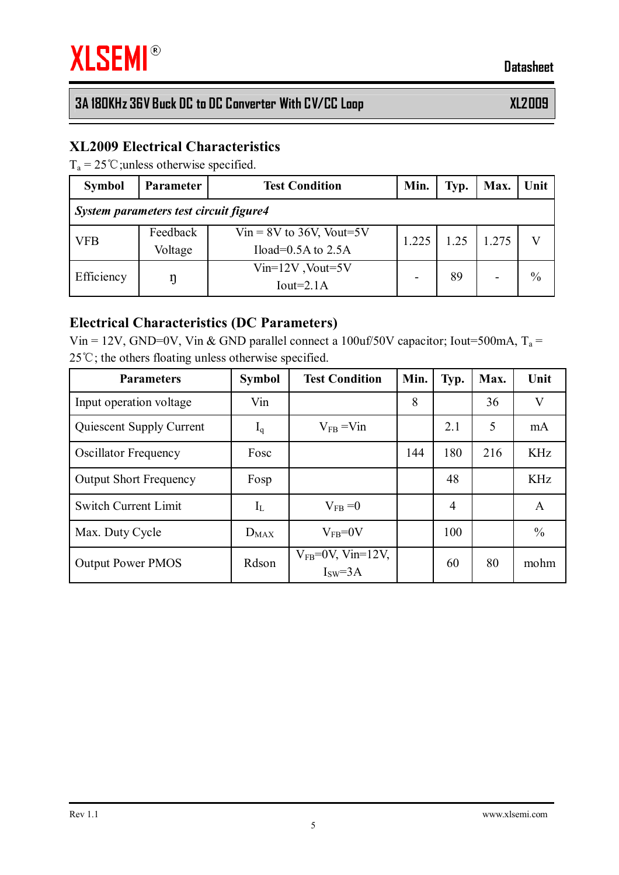**Datasheet**

### **XL2009 Electrical Characteristics**

 $T_a = 25 \degree C$ ; unless otherwise specified.

| <b>Symbol</b>                          | <b>Parameter</b>    | <b>Test Condition</b>                                 | Min.  | Typ. | Max.  | Unit          |  |
|----------------------------------------|---------------------|-------------------------------------------------------|-------|------|-------|---------------|--|
| System parameters test circuit figure4 |                     |                                                       |       |      |       |               |  |
| <b>VFB</b>                             | Feedback<br>Voltage | $Vir = 8V$ to 36V, Vout=5V<br>Iload= $0.5A$ to $2.5A$ | 1.225 | 1.25 | 1.275 |               |  |
| Efficiency                             |                     | $Vin=12V$ , $Vout=5V$<br>Iout=2.1 $A$                 |       | 89   |       | $\frac{0}{0}$ |  |

#### **Electrical Characteristics (DC Parameters)**

Vin = 12V, GND=0V, Vin & GND parallel connect a 100uf/50V capacitor; Iout=500mA,  $T_a$  = 25℃; the others floating unless otherwise specified.

| <b>Parameters</b>             | <b>Symbol</b> | <b>Test Condition</b>              | Min. | Typ. | Max. | Unit          |
|-------------------------------|---------------|------------------------------------|------|------|------|---------------|
| Input operation voltage       | Vin           |                                    | 8    |      | 36   | V             |
| Quiescent Supply Current      | $I_q$         | $V_{FB}$ = Vin                     |      | 2.1  | 5    | mA            |
| <b>Oscillator Frequency</b>   | Fosc          |                                    | 144  | 180  | 216  | <b>KHz</b>    |
| <b>Output Short Frequency</b> | Fosp          |                                    |      | 48   |      | <b>KHz</b>    |
| <b>Switch Current Limit</b>   | $\rm I_L$     | $V_{FB} = 0$                       |      | 4    |      | $\mathsf{A}$  |
| Max. Duty Cycle               | $D_{MAX}$     | $V_{FB}=0V$                        |      | 100  |      | $\frac{0}{0}$ |
| <b>Output Power PMOS</b>      | Rdson         | $V_{FB}$ =0V, Vin=12V,<br>$ISW=3A$ |      | 60   | 80   | mohm          |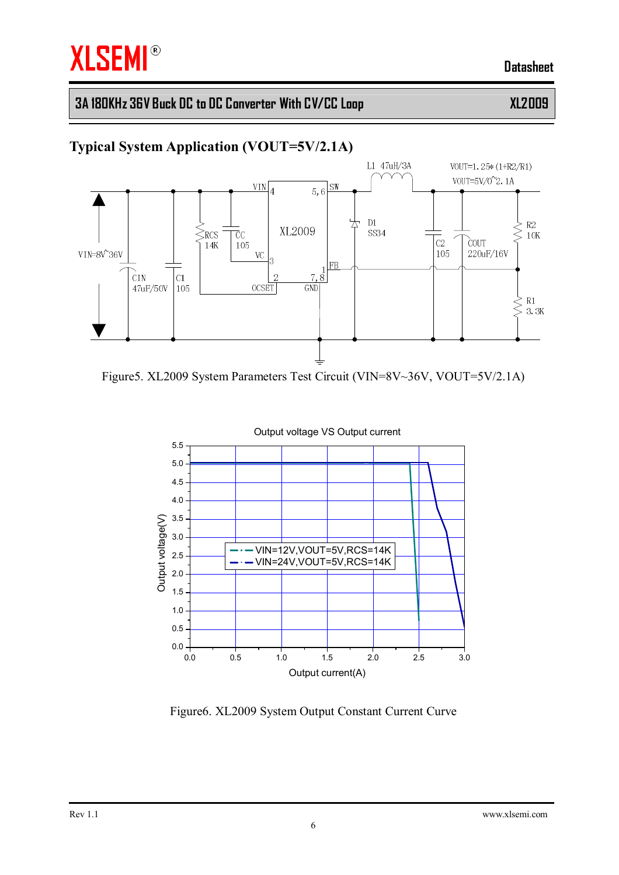# **XLSEMI<sup>®</sup>**

 **Datasheet**

### **3A 180KHz 36V Buck DC to DC Converter With CV/CC Loop XL2009**

### **Typical System Application (VOUT=5V/2.1A)**



Figure5. XL2009 System Parameters Test Circuit (VIN=8V~36V, VOUT=5V/2.1A)



Figure6. XL2009 System Output Constant Current Curve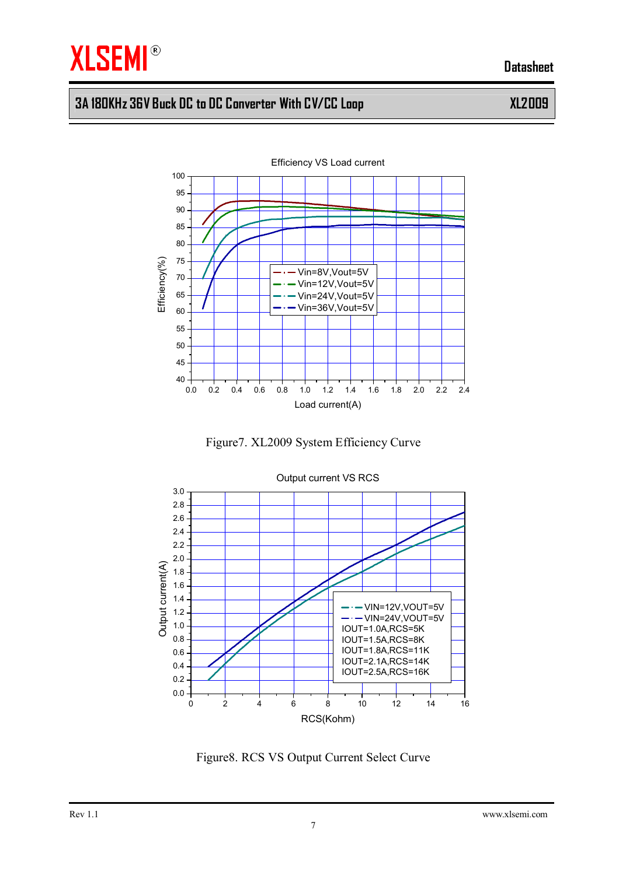**Datasheet**

# **3A 180KHz 36V Buck DC to DC Converter With CV/CC Loop XL2009**







Figure8. RCS VS Output Current Select Curve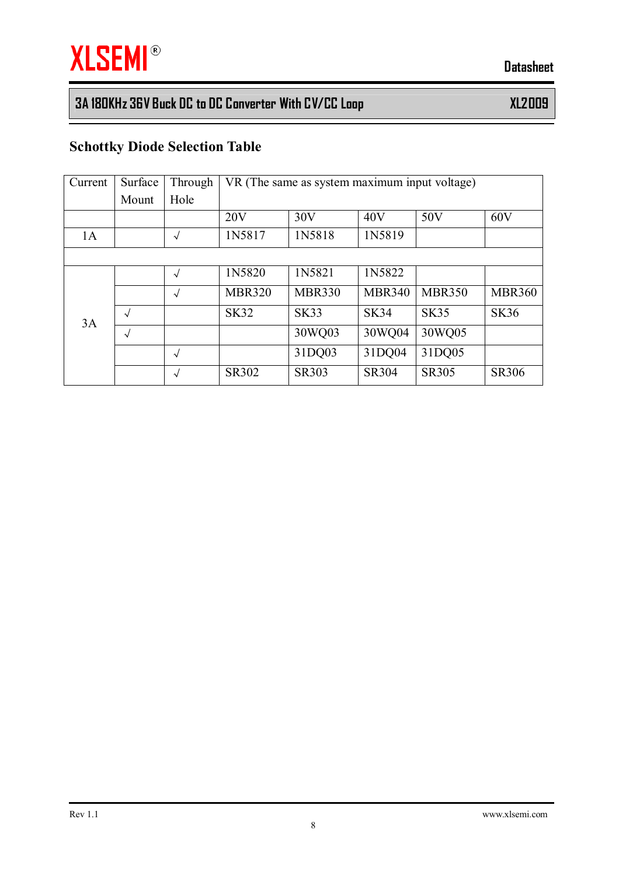# **Schottky Diode Selection Table**

| Current | Surface    | Through    | VR (The same as system maximum input voltage) |               |               |               |               |
|---------|------------|------------|-----------------------------------------------|---------------|---------------|---------------|---------------|
|         | Mount      | Hole       |                                               |               |               |               |               |
|         |            |            | 20V                                           | 30V           | 40V           | 50V           | 60V           |
| 1A      |            | $\sqrt{}$  | 1N5817                                        | 1N5818        | 1N5819        |               |               |
|         |            |            |                                               |               |               |               |               |
| 3A      |            | $\sqrt{ }$ | 1N5820                                        | 1N5821        | 1N5822        |               |               |
|         |            | $\sqrt{}$  | <b>MBR320</b>                                 | <b>MBR330</b> | <b>MBR340</b> | <b>MBR350</b> | <b>MBR360</b> |
|         | $\sqrt{ }$ |            | <b>SK32</b>                                   | <b>SK33</b>   | <b>SK34</b>   | <b>SK35</b>   | <b>SK36</b>   |
|         | $\sqrt{}$  |            |                                               | 30WQ03        | 30WQ04        | 30WQ05        |               |
|         |            | $\sqrt{}$  |                                               | 31DQ03        | 31DQ04        | 31DQ05        |               |
|         |            | $\sqrt{ }$ | <b>SR302</b>                                  | <b>SR303</b>  | <b>SR304</b>  | <b>SR305</b>  | <b>SR306</b>  |